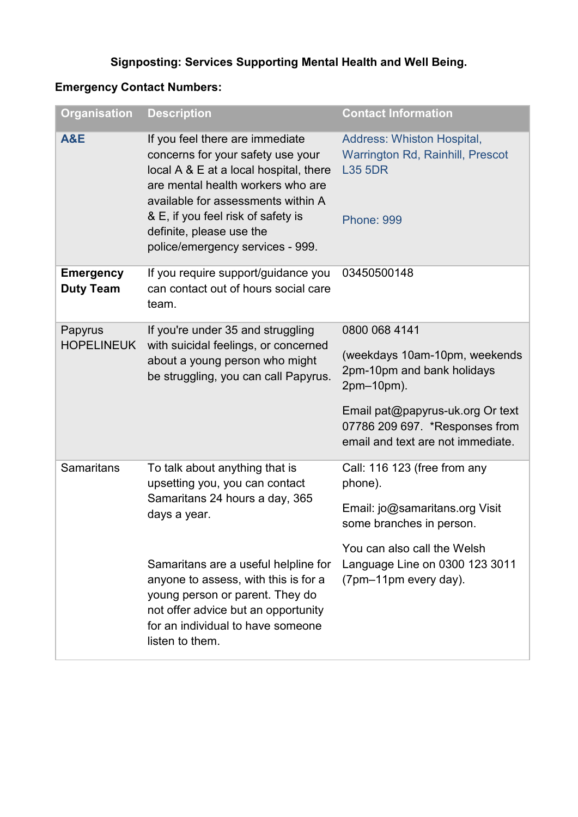## **Signposting: Services Supporting Mental Health and Well Being.**

## **Emergency Contact Numbers:**

| <b>Organisation</b>                  | <b>Description</b>                                                                                                                                                                                                                                                                              | <b>Contact Information</b>                                                                                   |
|--------------------------------------|-------------------------------------------------------------------------------------------------------------------------------------------------------------------------------------------------------------------------------------------------------------------------------------------------|--------------------------------------------------------------------------------------------------------------|
| <b>A&amp;E</b>                       | If you feel there are immediate<br>concerns for your safety use your<br>local A & E at a local hospital, there<br>are mental health workers who are<br>available for assessments within A<br>& E, if you feel risk of safety is<br>definite, please use the<br>police/emergency services - 999. | <b>Address: Whiston Hospital,</b><br>Warrington Rd, Rainhill, Prescot<br><b>L35 5DR</b><br><b>Phone: 999</b> |
| <b>Emergency</b><br><b>Duty Team</b> | If you require support/guidance you<br>can contact out of hours social care<br>team.                                                                                                                                                                                                            | 03450500148                                                                                                  |
| Papyrus<br><b>HOPELINEUK</b>         | If you're under 35 and struggling<br>with suicidal feelings, or concerned<br>about a young person who might<br>be struggling, you can call Papyrus.                                                                                                                                             | 0800 068 4141                                                                                                |
|                                      |                                                                                                                                                                                                                                                                                                 | (weekdays 10am-10pm, weekends<br>2pm-10pm and bank holidays<br>2pm-10pm).                                    |
|                                      |                                                                                                                                                                                                                                                                                                 | Email pat@papyrus-uk.org Or text<br>07786 209 697. *Responses from<br>email and text are not immediate.      |
| <b>Samaritans</b>                    | To talk about anything that is<br>upsetting you, you can contact<br>Samaritans 24 hours a day, 365<br>days a year.                                                                                                                                                                              | Call: 116 123 (free from any<br>phone).                                                                      |
|                                      |                                                                                                                                                                                                                                                                                                 | Email: jo@samaritans.org Visit<br>some branches in person.                                                   |
|                                      | Samaritans are a useful helpline for<br>anyone to assess, with this is for a<br>young person or parent. They do<br>not offer advice but an opportunity<br>for an individual to have someone<br>listen to them.                                                                                  | You can also call the Welsh<br>Language Line on 0300 123 3011<br>(7pm-11pm every day).                       |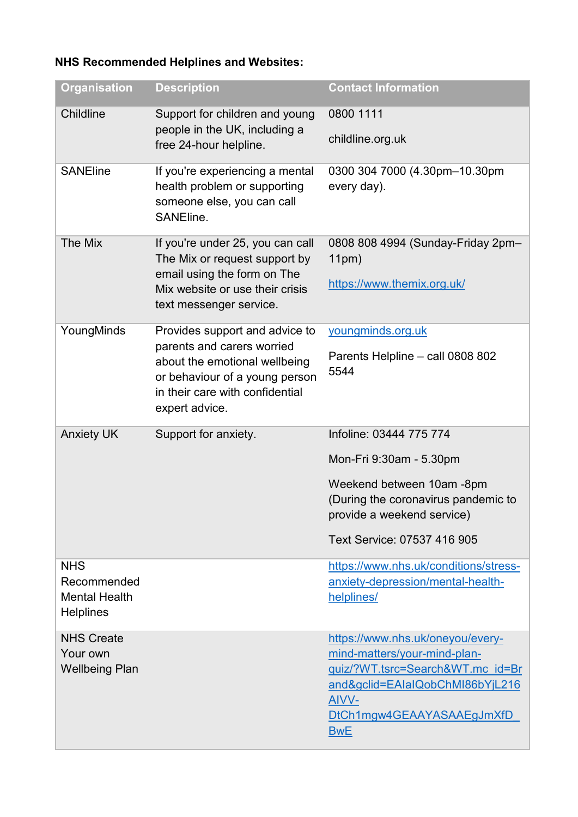## **NHS Recommended Helplines and Websites:**

| <b>Organisation</b>                                                   | <b>Description</b>                                                                                                                                                                   | <b>Contact Information</b>                                                               |
|-----------------------------------------------------------------------|--------------------------------------------------------------------------------------------------------------------------------------------------------------------------------------|------------------------------------------------------------------------------------------|
| Childline                                                             | Support for children and young<br>people in the UK, including a<br>free 24-hour helpline.                                                                                            | 0800 1111                                                                                |
|                                                                       |                                                                                                                                                                                      | childline.org.uk                                                                         |
| <b>SANEline</b>                                                       | If you're experiencing a mental<br>health problem or supporting<br>someone else, you can call<br>SANEline.                                                                           | 0300 304 7000 (4.30pm-10.30pm<br>every day).                                             |
| The Mix                                                               | If you're under 25, you can call<br>The Mix or request support by<br>email using the form on The<br>Mix website or use their crisis<br>text messenger service.                       | 0808 808 4994 (Sunday-Friday 2pm-<br>11pm)                                               |
|                                                                       |                                                                                                                                                                                      | https://www.themix.org.uk/                                                               |
| YoungMinds                                                            | Provides support and advice to<br>parents and carers worried<br>about the emotional wellbeing<br>or behaviour of a young person<br>in their care with confidential<br>expert advice. | youngminds.org.uk                                                                        |
|                                                                       |                                                                                                                                                                                      | Parents Helpline - call 0808 802<br>5544                                                 |
| <b>Anxiety UK</b>                                                     | Support for anxiety.                                                                                                                                                                 | Infoline: 03444 775 774                                                                  |
|                                                                       |                                                                                                                                                                                      | Mon-Fri 9:30am - 5.30pm                                                                  |
|                                                                       |                                                                                                                                                                                      | Weekend between 10am -8pm                                                                |
|                                                                       |                                                                                                                                                                                      | (During the coronavirus pandemic to<br>provide a weekend service)                        |
|                                                                       |                                                                                                                                                                                      | Text Service: 07537 416 905                                                              |
| <b>NHS</b><br>Recommended<br><b>Mental Health</b><br><b>Helplines</b> |                                                                                                                                                                                      | https://www.nhs.uk/conditions/stress-<br>anxiety-depression/mental-health-<br>helplines/ |
| <b>NHS Create</b><br>Your own                                         |                                                                                                                                                                                      | https://www.nhs.uk/oneyou/every-<br>mind-matters/your-mind-plan-                         |
| <b>Wellbeing Plan</b>                                                 |                                                                                                                                                                                      | quiz/?WT.tsrc=Search&WT.mc id=Br<br>and&gclid=EAlaIQobChMI86bYjL216<br>AIVV-             |
|                                                                       |                                                                                                                                                                                      | DtCh1mgw4GEAAYASAAEgJmXfD<br><b>BwE</b>                                                  |